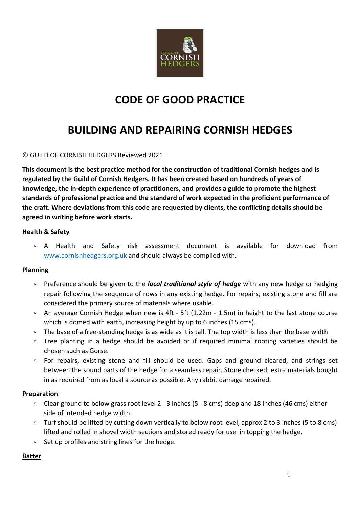

# **CODE OF GOOD PRACTICE**

# **BUILDING AND REPAIRING CORNISH HEDGES**

### © GUILD OF CORNISH HEDGERS Reviewed 2021

This document is the best practice method for the construction of traditional Cornish hedges and is regulated by the Guild of Cornish Hedgers. It has been created based on hundreds of years of knowledge, the in-depth experience of practitioners, and provides a guide to promote the highest standards of professional practice and the standard of work expected in the proficient performance of the craft. Where deviations from this code are requested by clients, the conflicting details should be **agreed in writing before work starts.**

### **Health & Safety**

□ A Health and Safety risk assessment document is available for download from www.cornishhedgers.org.uk and should always be complied with.

### **Planning**

- □ Preference should be given to the *local traditional style of hedge* with any new hedge or hedging repair following the sequence of rows in any existing hedge. For repairs, existing stone and fill are considered the primary source of materials where usable.
- □ An average Cornish Hedge when new is 4ft 5ft (1.22m 1.5m) in height to the last stone course which is domed with earth, increasing height by up to 6 inches (15 cms).
- □ The base of a free-standing hedge is as wide as it is tall. The top width is less than the base width.
- □ Tree planting in a hedge should be avoided or if required minimal rooting varieties should be chosen such as Gorse.
- □ For repairs, existing stone and fill should be used. Gaps and ground cleared, and strings set between the sound parts of the hedge for a seamless repair. Stone checked, extra materials bought in as required from as local a source as possible. Any rabbit damage repaired.

#### **Preparation**

- □ Clear ground to below grass root level 2 3 inches (5 8 cms) deep and 18 inches (46 cms) either side of intended hedge width.
- □ Turf should be lifted by cutting down vertically to below root level, approx 2 to 3 inches (5 to 8 cms) lifted and rolled in shovel width sections and stored ready for use in topping the hedge.
- $\overline{ }$  Set up profiles and string lines for the hedge.

### **Batter**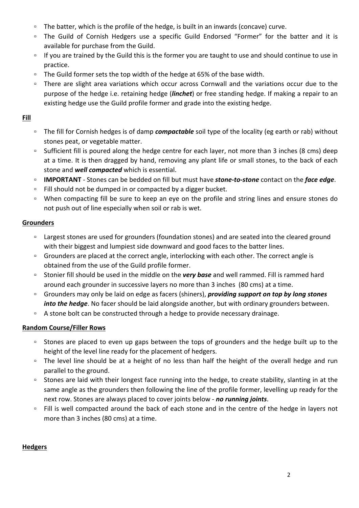- □ The batter, which is the profile of the hedge, is built in an inwards (concave) curve.
- □ The Guild of Cornish Hedgers use a specific Guild Endorsed "Former" for the batter and it is available for purchase from the Guild.
- □ If you are trained by the Guild this is the former you are taught to use and should continue to use in practice.
- □ The Guild former sets the top width of the hedge at 65% of the base width.
- □ There are slight area variations which occur across Cornwall and the variations occur due to the purpose of the hedge i.e. retaining hedge (*linchet*) or free standing hedge. If making a repair to an existing hedge use the Guild profile former and grade into the existing hedge.

# **Fill**

- □ The fill for Cornish hedges is of damp *compactable* soil type of the locality (eg earth or rab) without stones peat, or vegetable matter.
- □ Sufficient fill is poured along the hedge centre for each layer, not more than 3 inches (8 cms) deep at a time. It is then dragged by hand, removing any plant life or small stones, to the back of each stone and **well compacted** which is essential.
- **IMPORTANT** Stones can be bedded on fill but must have **stone-to-stone** contact on the *face edge*.
- □ Fill should not be dumped in or compacted by a digger bucket.
- □ When compacting fill be sure to keep an eye on the profile and string lines and ensure stones do not push out of line especially when soil or rab is wet.

# **Grounders**

- □ Largest stones are used for grounders (foundation stones) and are seated into the cleared ground with their biggest and lumpiest side downward and good faces to the batter lines.
- □ Grounders are placed at the correct angle, interlocking with each other. The correct angle is obtained from the use of the Guild profile former.
- □ Stonier fill should be used in the middle on the very base and well rammed. Fill is rammed hard around each grounder in successive layers no more than 3 inches (80 cms) at a time.
- □ Grounders may only be laid on edge as facers (shiners), *providing support on top by long stones into the hedge*. No facer should be laid alongside another, but with ordinary grounders between.
- <sup>□</sup> A stone bolt can be constructed through a hedge to provide necessary drainage.

# **Random Course/Filler Rows**

- □ Stones are placed to even up gaps between the tops of grounders and the hedge built up to the height of the level line ready for the placement of hedgers.
- □ The level line should be at a height of no less than half the height of the overall hedge and run parallel to the ground.
- □ Stones are laid with their longest face running into the hedge, to create stability, slanting in at the same angle as the grounders then following the line of the profile former, levelling up ready for the next row. Stones are always placed to cover joints below - **no running joints**.
- □ Fill is well compacted around the back of each stone and in the centre of the hedge in layers not more than 3 inches (80 cms) at a time.

# **Hedgers**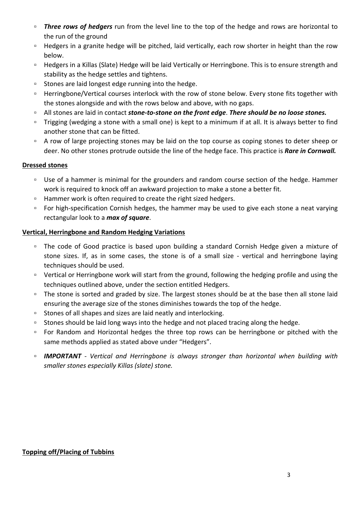- *n* Three rows of hedgers run from the level line to the top of the hedge and rows are horizontal to the run of the ground
- □ Hedgers in a granite hedge will be pitched, laid vertically, each row shorter in height than the row below.
- □ Hedgers in a Killas (Slate) Hedge will be laid Vertically or Herringbone. This is to ensure strength and stability as the hedge settles and tightens.
- □ Stones are laid longest edge running into the hedge.
- □ Herringbone/Vertical courses interlock with the row of stone below. Every stone fits together with the stones alongside and with the rows below and above, with no gaps.
- □ All stones are laid in contact *stone-to-stone on the front edge*. There should be no loose stones.
- □ Trigging (wedging a stone with a small one) is kept to a minimum if at all. It is always better to find another stone that can be fitted.
- <sup>□</sup> A row of large projecting stones may be laid on the top course as coping stones to deter sheep or deer. No other stones protrude outside the line of the hedge face. This practice is **Rare in Cornwall.**

# **Dressed stones**

- □ Use of a hammer is minimal for the grounders and random course section of the hedge. Hammer work is required to knock off an awkward projection to make a stone a better fit.
- □ Hammer work is often required to create the right sized hedgers.
- □ For high-specification Cornish hedges, the hammer may be used to give each stone a neat varying rectangular look to a *max of square*.

## **Vertical, Herringbone and Random Hedging Variations**

- □ The code of Good practice is based upon building a standard Cornish Hedge given a mixture of stone sizes. If, as in some cases, the stone is of a small size - vertical and herringbone laying techniques should be used.
- □ Vertical or Herringbone work will start from the ground, following the hedging profile and using the techniques outlined above, under the section entitled Hedgers.
- □ The stone is sorted and graded by size. The largest stones should be at the base then all stone laid ensuring the average size of the stones diminishes towards the top of the hedge.
- □ Stones of all shapes and sizes are laid neatly and interlocking.
- □ Stones should be laid long ways into the hedge and not placed tracing along the hedge.
- □ For Random and Horizontal hedges the three top rows can be herringbone or pitched with the same methods applied as stated above under "Hedgers".
- **□ IMPORTANT** *-* Vertical and Herringbone is always stronger than horizontal when building with *smaller stones especially Killas (slate) stone.*

### **Topping off/Placing of Tubbins**